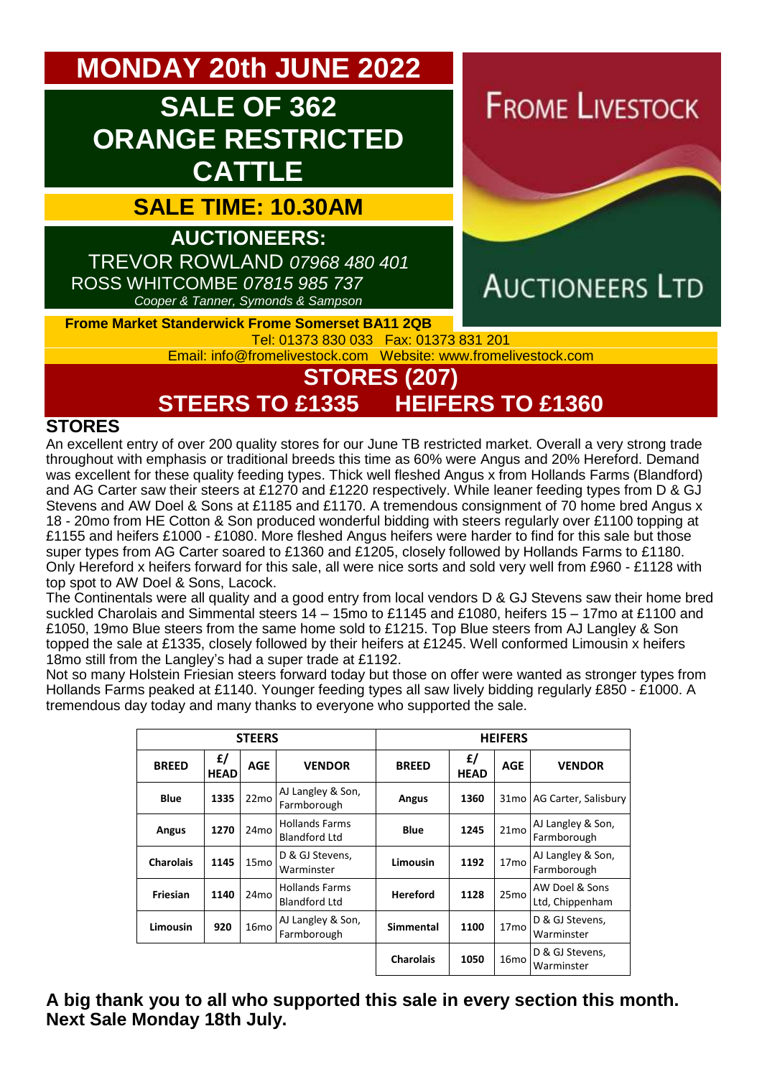# **MONDAY 20th JUNE 2022**

# **SALE OF 362 ORANGE RESTRICTED CATTLE**

**SALE TIME: 10.30AM**

**AUCTIONEERS:**  TREVOR ROWLAND *07968 480 401* ROSS WHITCOMBE *07815 985 737 Cooper & Tanner, Symonds & Sampson*

**FROME LIVESTOCK** 



### **Frome Market Standerwick Frome Somerset BA11 2QB** Tel: 01373 830 033 Fax: 01373 831 201

Email: [info@fromelivestock.com](mailto:info@fromelivestock.com) Website: [www.fromelivestock.com](http://www.fromelivestock.com/)

## **STORES (207) STEERS TO £1335 HEIFERS TO £1360**

### **STORES**

An excellent entry of over 200 quality stores for our June TB restricted market. Overall a very strong trade throughout with emphasis or traditional breeds this time as 60% were Angus and 20% Hereford. Demand was excellent for these quality feeding types. Thick well fleshed Angus x from Hollands Farms (Blandford) and AG Carter saw their steers at £1270 and £1220 respectively. While leaner feeding types from D & GJ Stevens and AW Doel & Sons at £1185 and £1170. A tremendous consignment of 70 home bred Angus x 18 - 20mo from HE Cotton & Son produced wonderful bidding with steers regularly over £1100 topping at £1155 and heifers £1000 - £1080. More fleshed Angus heifers were harder to find for this sale but those super types from AG Carter soared to £1360 and £1205, closely followed by Hollands Farms to £1180. Only Hereford x heifers forward for this sale, all were nice sorts and sold very well from £960 - £1128 with top spot to AW Doel & Sons, Lacock.

The Continentals were all quality and a good entry from local vendors D & GJ Stevens saw their home bred suckled Charolais and Simmental steers 14 – 15mo to £1145 and £1080, heifers 15 – 17mo at £1100 and £1050, 19mo Blue steers from the same home sold to £1215. Top Blue steers from AJ Langley & Son topped the sale at £1335, closely followed by their heifers at £1245. Well conformed Limousin x heifers 18mo still from the Langley's had a super trade at £1192.

Not so many Holstein Friesian steers forward today but those on offer were wanted as stronger types from Hollands Farms peaked at £1140. Younger feeding types all saw lively bidding regularly £850 - £1000. A tremendous day today and many thanks to everyone who supported the sale.

|                  |                   | <b>STEERS</b>    |                                               | <b>HEIFERS</b>   |                   |                  |                                   |
|------------------|-------------------|------------------|-----------------------------------------------|------------------|-------------------|------------------|-----------------------------------|
| <b>BREED</b>     | £/<br><b>HEAD</b> | <b>AGE</b>       | <b>VENDOR</b>                                 | <b>BREED</b>     | £/<br><b>HEAD</b> | <b>AGE</b>       | <b>VENDOR</b>                     |
| <b>Blue</b>      | 1335              | 22mo             | AJ Langley & Son,<br>Farmborough              | Angus            | 1360              |                  | 31mo   AG Carter, Salisbury       |
| Angus            | 1270              | 24 <sub>mo</sub> | <b>Hollands Farms</b><br><b>Blandford Ltd</b> | <b>Blue</b>      | 1245              | 21 <sub>mo</sub> | AJ Langley & Son,<br>Farmborough  |
| <b>Charolais</b> | 1145              | 15 <sub>mo</sub> | D & GJ Stevens,<br>Warminster                 | Limousin         | 1192              | 17 <sub>mo</sub> | AJ Langley & Son,<br>Farmborough  |
| Friesian         | 1140              | 24mo             | <b>Hollands Farms</b><br><b>Blandford Ltd</b> | <b>Hereford</b>  | 1128              | 25 <sub>mo</sub> | AW Doel & Sons<br>Ltd, Chippenham |
| Limousin         | 920               | 16 <sub>mo</sub> | AJ Langley & Son,<br>Farmborough              | <b>Simmental</b> | 1100              | 17 <sub>mo</sub> | D & GJ Stevens,<br>Warminster     |
|                  |                   |                  |                                               | <b>Charolais</b> | 1050              | 16 <sub>mo</sub> | D & GJ Stevens,<br>Warminster     |

### **A big thank you to all who supported this sale in every section this month. Next Sale Monday 18th July.**